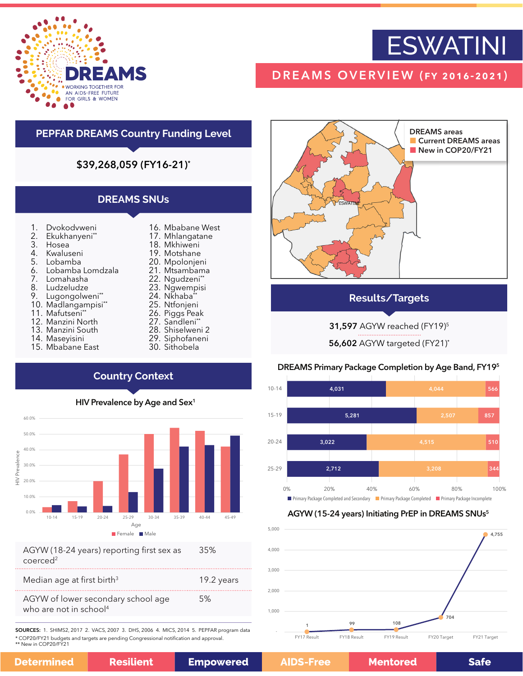

# **ESWATINI**

# DREAMS OVERVIEW (fy 2016-2021)

# **PEPFAR DREAMS Country Funding Level**

# \$39,268,059 (FY16-21)\*

# **DREAMS SNUs**

- 1. Dvokodvweni
- 2. Ekukhanyeni\*\*<br>3. Hosea
- 3. Hosea<br>4. Kwalus
- 4. Kwaluseni<br>5. Lobamba
- 5. Lobamba
- 6. Lobamba Lomdzala<br>7. Lomahasha
- 7. Lomahasha
- 8. Ludzeludze<br>9. Lugonaolwe
- Lugongolweni\*\*
- 10. Madlangampisi\*\*
- 11. Mafutseni\*\*
- 12. Manzini North
- 13. Manzini South
- 14. Maseyisini

**Detern** 

15. Mbabane East

- 16. Mbabane West
- 17. Mhlangatane 18. Mkhiweni
- 19. Motshane
- 20. Mpolonjeni
- 21. Mtsambama
- 22. Ngudzeni\*\*
- 23. Ngwempisi
- 24. Nkhaba<sup>\*</sup>
- 25. Ntfonjeni
- 26. Piggs Peak
- 27. Sandleni\*\*
- 28. Shiselweni 2
- 29. Siphofaneni
- 30. Sithobela

# DREAMS areas **Current DREAMS areas** New in COP20/FY21 **ESWATT**

## **Results/Targets**

**31,597** AGYW reached (FY19)<sup>5</sup>

56,602 AGYW targeted (FY21)\*

### DREAMS Primary Package Completion by Age Band, FY195



### AGYW (15-24 years) Initiating PrEP in DREAMS SNUs<sup>5</sup>



# HIV Prevalence by Age and Sex<sup>1</sup>

**Country Context**



coerced<sup>2</sup>

| Median age at first birth <sup>3</sup>                                   | 19.2 years |
|--------------------------------------------------------------------------|------------|
| AGYW of lower secondary school age<br>who are not in school <sup>4</sup> | 5%         |

SOURCES: 1. SHIMS2, 2017 2. VACS, 2007 3. DHS, 2006 4. MICS, 2014 5. PEPFAR program data \* COP20/FY21 budgets and targets are pending Congressional notification and approval. \*\* New in COP20/FY21

| nined | <b>Resilient</b> | <b>Empower</b> |
|-------|------------------|----------------|
|-------|------------------|----------------|

ed

**Mentored** 

**Safe**